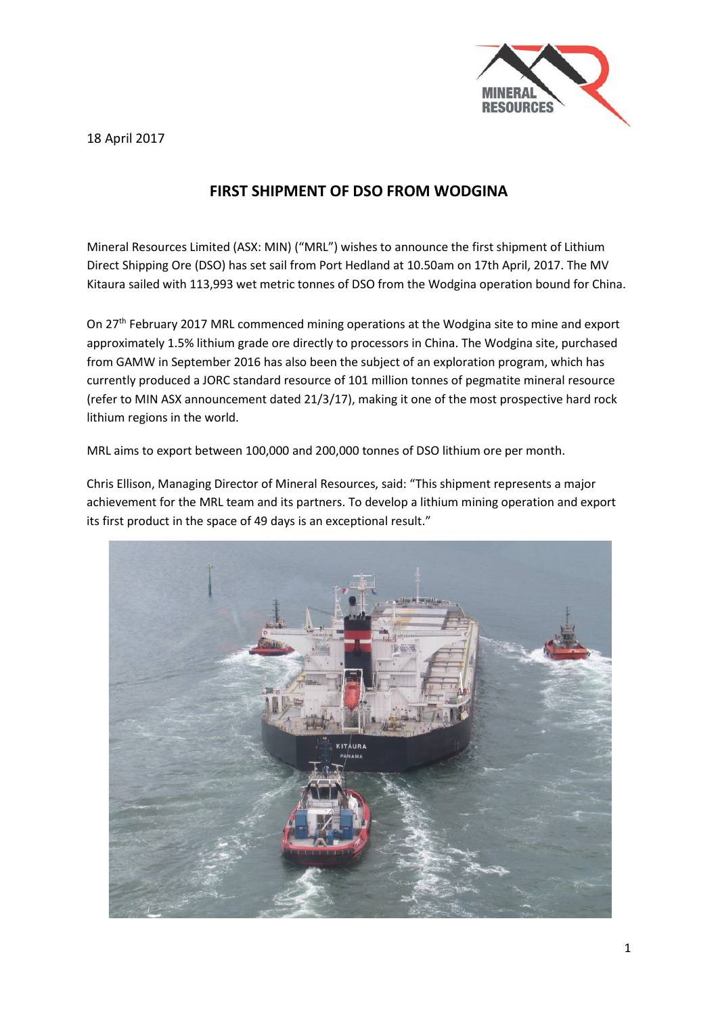18 April 2017



## **FIRST SHIPMENT OF DSO FROM WODGINA**

Mineral Resources Limited (ASX: MIN) ("MRL") wishes to announce the first shipment of Lithium Direct Shipping Ore (DSO) has set sail from Port Hedland at 10.50am on 17th April, 2017. The MV Kitaura sailed with 113,993 wet metric tonnes of DSO from the Wodgina operation bound for China.

On 27<sup>th</sup> February 2017 MRL commenced mining operations at the Wodgina site to mine and export approximately 1.5% lithium grade ore directly to processors in China. The Wodgina site, purchased from GAMW in September 2016 has also been the subject of an exploration program, which has currently produced a JORC standard resource of 101 million tonnes of pegmatite mineral resource (refer to MIN ASX announcement dated 21/3/17), making it one of the most prospective hard rock lithium regions in the world.

MRL aims to export between 100,000 and 200,000 tonnes of DSO lithium ore per month.

Chris Ellison, Managing Director of Mineral Resources, said: "This shipment represents a major achievement for the MRL team and its partners. To develop a lithium mining operation and export its first product in the space of 49 days is an exceptional result."